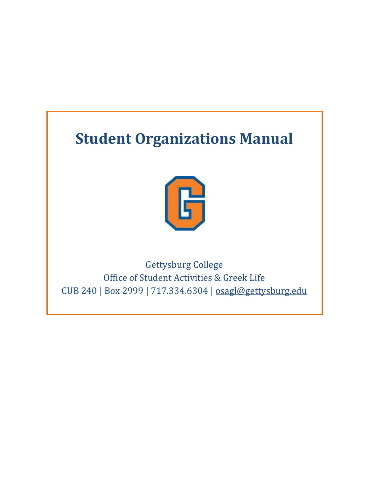# **Student Organizations Manual**



Gettysburg College Office of Student Activities & Greek Life CUB 240 | Box 2999 | 717.334.6304 | [osagl@gettysburg.edu](mailto:osagl@gettysburg.edu)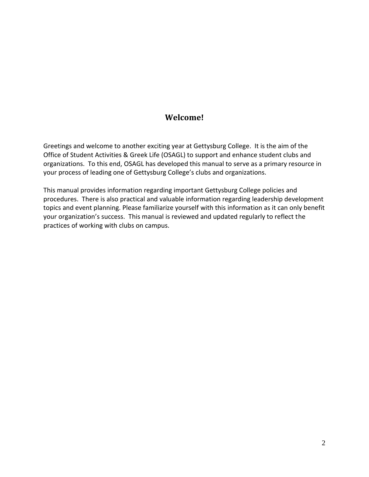## **Welcome!**

Greetings and welcome to another exciting year at Gettysburg College. It is the aim of the Office of Student Activities & Greek Life (OSAGL) to support and enhance student clubs and organizations. To this end, OSAGL has developed this manual to serve as a primary resource in your process of leading one of Gettysburg College's clubs and organizations.

This manual provides information regarding important Gettysburg College policies and procedures. There is also practical and valuable information regarding leadership development topics and event planning. Please familiarize yourself with this information as it can only benefit your organization's success. This manual is reviewed and updated regularly to reflect the practices of working with clubs on campus.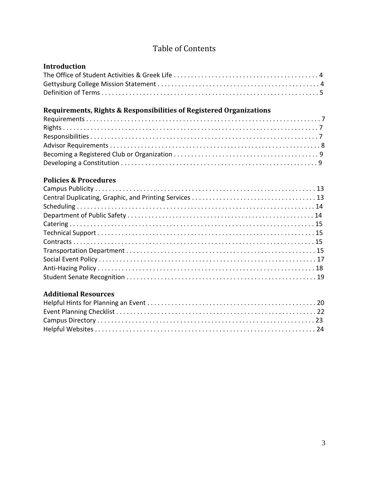# Table of Contents

## **Introduction**

# **Requirements, Rights & Responsibilities of Registered Organizations**

## **Policies & Procedures**

## **Additional Resources**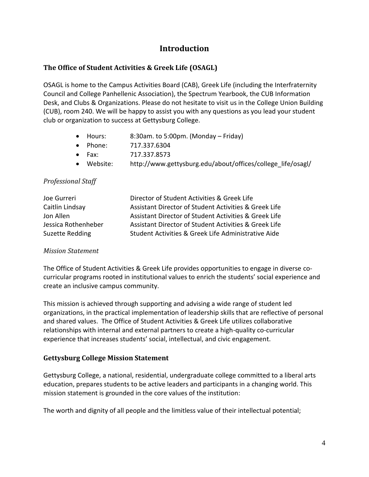## **Introduction**

#### **The Office of Student Activities & Greek Life (OSAGL)**

OSAGL is home to the Campus Activities Board (CAB), Greek Life (including the Interfraternity Council and College Panhellenic Association), the Spectrum Yearbook, the CUB Information Desk, and Clubs & Organizations. Please do not hesitate to visit us in the College Union Building (CUB), room 240. We will be happy to assist you with any questions as you lead your student club or organization to success at Gettysburg College.

- Hours: 8:30am. to 5:00pm. (Monday Friday)
- Phone: 717.337.6304
- Fax: 717.337.8573
- Website: http://www.gettysburg.edu/about/offices/college\_life/osagl/

#### *Professional Staff*

| Joe Gurreri         | Director of Student Activities & Greek Life           |
|---------------------|-------------------------------------------------------|
| Caitlin Lindsay     | Assistant Director of Student Activities & Greek Life |
| Jon Allen           | Assistant Director of Student Activities & Greek Life |
| Jessica Rothenheber | Assistant Director of Student Activities & Greek Life |
| Suzette Redding     | Student Activities & Greek Life Administrative Aide   |

#### *Mission Statement*

The Office of Student Activities & Greek Life provides opportunities to engage in diverse cocurricular programs rooted in institutional values to enrich the students' social experience and create an inclusive campus community.

This mission is achieved through supporting and advising a wide range of student led organizations, in the practical implementation of leadership skills that are reflective of personal and shared values. The Office of Student Activities & Greek Life utilizes collaborative relationships with internal and external partners to create a high-quality co-curricular experience that increases students' social, intellectual, and civic engagement.

#### **Gettysburg College Mission Statement**

Gettysburg College, a national, residential, undergraduate college committed to a liberal arts education, prepares students to be active leaders and participants in a changing world. This mission statement is grounded in the core values of the institution:

The worth and dignity of all people and the limitless value of their intellectual potential;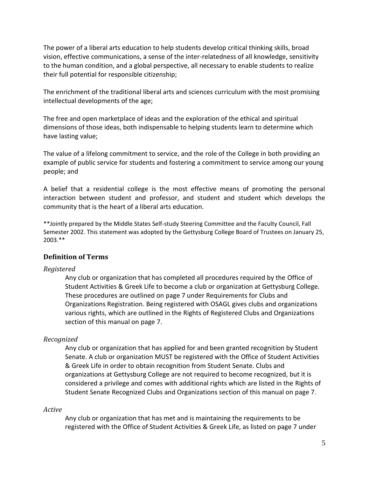The power of a liberal arts education to help students develop critical thinking skills, broad vision, effective communications, a sense of the inter-relatedness of all knowledge, sensitivity to the human condition, and a global perspective, all necessary to enable students to realize their full potential for responsible citizenship;

The enrichment of the traditional liberal arts and sciences curriculum with the most promising intellectual developments of the age;

The free and open marketplace of ideas and the exploration of the ethical and spiritual dimensions of those ideas, both indispensable to helping students learn to determine which have lasting value;

The value of a lifelong commitment to service, and the role of the College in both providing an example of public service for students and fostering a commitment to service among our young people; and

A belief that a residential college is the most effective means of promoting the personal interaction between student and professor, and student and student which develops the community that is the heart of a liberal arts education.

\*\*Jointly prepared by the Middle States Self-study Steering Committee and the Faculty Council, Fall Semester 2002. This statement was adopted by the Gettysburg College Board of Trustees on January 25, 2003.\*\*

#### **Definition of Terms**

#### *Registered*

Any club or organization that has completed all procedures required by the Office of Student Activities & Greek Life to become a club or organization at Gettysburg College. These procedures are outlined on page 7 under Requirements for Clubs and Organizations Registration. Being registered with OSAGL gives clubs and organizations various rights, which are outlined in the Rights of Registered Clubs and Organizations section of this manual on page 7.

#### *Recognized*

Any club or organization that has applied for and been granted recognition by Student Senate. A club or organization MUST be registered with the Office of Student Activities & Greek Life in order to obtain recognition from Student Senate. Clubs and organizations at Gettysburg College are not required to become recognized, but it is considered a privilege and comes with additional rights which are listed in the Rights of Student Senate Recognized Clubs and Organizations section of this manual on page 7.

#### *Active*

Any club or organization that has met and is maintaining the requirements to be registered with the Office of Student Activities & Greek Life, as listed on page 7 under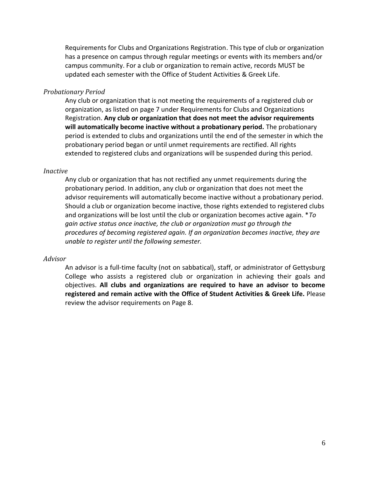Requirements for Clubs and Organizations Registration. This type of club or organization has a presence on campus through regular meetings or events with its members and/or campus community. For a club or organization to remain active, records MUST be updated each semester with the Office of Student Activities & Greek Life.

#### *Probationary Period*

Any club or organization that is not meeting the requirements of a registered club or organization, as listed on page 7 under Requirements for Clubs and Organizations Registration. **Any club or organization that does not meet the advisor requirements will automatically become inactive without a probationary period.** The probationary period is extended to clubs and organizations until the end of the semester in which the probationary period began or until unmet requirements are rectified. All rights extended to registered clubs and organizations will be suspended during this period.

#### *Inactive*

Any club or organization that has not rectified any unmet requirements during the probationary period. In addition, any club or organization that does not meet the advisor requirements will automatically become inactive without a probationary period. Should a club or organization become inactive, those rights extended to registered clubs and organizations will be lost until the club or organization becomes active again. \**To gain active status once inactive, the club or organization must go through the procedures of becoming registered again. If an organization becomes inactive, they are unable to register until the following semester.*

#### *Advisor*

An advisor is a full-time faculty (not on sabbatical), staff, or administrator of Gettysburg College who assists a registered club or organization in achieving their goals and objectives. **All clubs and organizations are required to have an advisor to become registered and remain active with the Office of Student Activities & Greek Life.** Please review the advisor requirements on Page 8.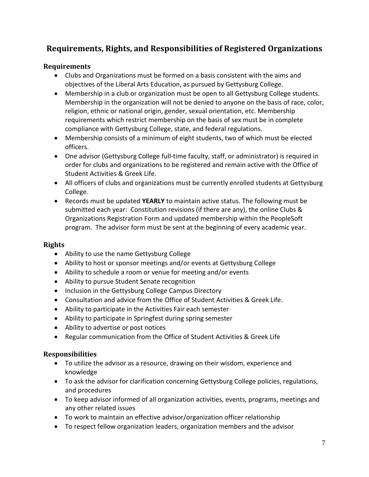# **Requirements, Rights, and Responsibilities of Registered Organizations**

#### **Requirements**

- Clubs and Organizations must be formed on a basis consistent with the aims and objectives of the Liberal Arts Education, as pursued by Gettysburg College.
- Membership in a club or organization must be open to all Gettysburg College students. Membership in the organization will not be denied to anyone on the basis of race, color, religion, ethnic or national origin, gender, sexual orientation, etc. Membership requirements which restrict membership on the basis of sex must be in complete compliance with Gettysburg College, state, and federal regulations.
- Membership consists of a minimum of eight students, two of which must be elected officers.
- One advisor (Gettysburg College full-time faculty, staff, or administrator) is required in order for clubs and organizations to be registered and remain active with the Office of Student Activities & Greek Life.
- All officers of clubs and organizations must be currently enrolled students at Gettysburg College.
- Records must be updated **YEARLY** to maintain active status. The following must be submitted each year: Constitution revisions (if there are any), the online Clubs & Organizations Registration Form and updated membership within the PeopleSoft program. The advisor form must be sent at the beginning of every academic year.

## **Rights**

- Ability to use the name Gettysburg College
- Ability to host or sponsor meetings and/or events at Gettysburg College
- Ability to schedule a room or venue for meeting and/or events
- Ability to pursue Student Senate recognition
- Inclusion in the Gettysburg College Campus Directory
- Consultation and advice from the Office of Student Activities & Greek Life.
- Ability to participate in the Activities Fair each semester
- Ability to participate in Springfest during spring semester
- Ability to advertise or post notices
- Regular communication from the Office of Student Activities & Greek Life

## **Responsibilities**

- To utilize the advisor as a resource, drawing on their wisdom, experience and knowledge
- To ask the advisor for clarification concerning Gettysburg College policies, regulations, and procedures
- To keep advisor informed of all organization activities, events, programs, meetings and any other related issues
- To work to maintain an effective advisor/organization officer relationship
- To respect fellow organization leaders, organization members and the advisor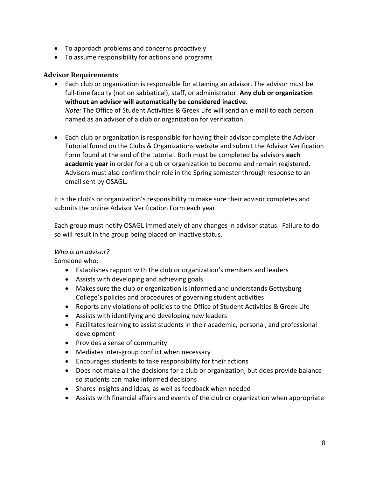- To approach problems and concerns proactively
- To assume responsibility for actions and programs

#### **Advisor Requirements**

- Each club or organization is responsible for attaining an advisor. The advisor must be full-time faculty (not on sabbatical), staff, or administrator. **Any club or organization without an advisor will automatically be considered inactive.**  *Note:* The Office of Student Activities & Greek Life will send an e-mail to each person named as an advisor of a club or organization for verification.
- Each club or organization is responsible for having their advisor complete the Advisor Tutorial found on the Clubs & Organizations website and submit the Advisor Verification Form found at the end of the tutorial. Both must be completed by advisors **each academic year** in order for a club or organization to become and remain registered. Advisors must also confirm their role in the Spring semester through response to an email sent by OSAGL.

It is the club's or organization's responsibility to make sure their advisor completes and submits the online Advisor Verification Form each year.

Each group must notify OSAGL immediately of any changes in advisor status. Failure to do so will result in the group being placed on inactive status.

#### *Who is an advisor?*

Someone who:

- Establishes rapport with the club or organization's members and leaders
- Assists with developing and achieving goals
- Makes sure the club or organization is informed and understands Gettysburg College's policies and procedures of governing student activities
- Reports any violations of policies to the Office of Student Activities & Greek Life
- Assists with identifying and developing new leaders
- Facilitates learning to assist students in their academic, personal, and professional development
- Provides a sense of community
- Mediates inter-group conflict when necessary
- Encourages students to take responsibility for their actions
- Does not make all the decisions for a club or organization, but does provide balance so students can make informed decisions
- Shares insights and ideas, as well as feedback when needed
- Assists with financial affairs and events of the club or organization when appropriate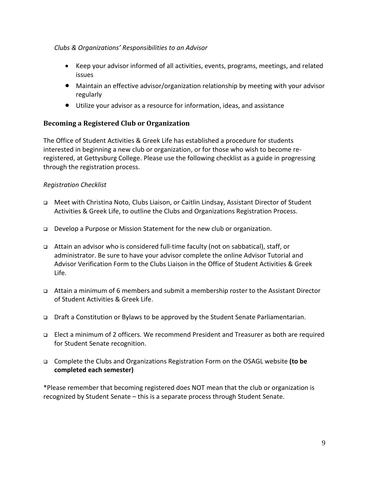#### *Clubs & Organizations' Responsibilities to an Advisor*

- Keep your advisor informed of all activities, events, programs, meetings, and related issues
- Maintain an effective advisor/organization relationship by meeting with your advisor regularly
- Utilize your advisor as a resource for information, ideas, and assistance

## **Becoming a Registered Club or Organization**

The Office of Student Activities & Greek Life has established a procedure for students interested in beginning a new club or organization, or for those who wish to become reregistered, at Gettysburg College. Please use the following checklist as a guide in progressing through the registration process.

## *Registration Checklist*

- Meet with Christina Noto, Clubs Liaison, or Caitlin Lindsay, Assistant Director of Student Activities & Greek Life, to outline the Clubs and Organizations Registration Process.
- Develop a Purpose or Mission Statement for the new club or organization.
- Attain an advisor who is considered full-time faculty (not on sabbatical), staff, or administrator. Be sure to have your advisor complete the online Advisor Tutorial and Advisor Verification Form to the Clubs Liaison in the Office of Student Activities & Greek Life.
- Attain a minimum of 6 members and submit a membership roster to the Assistant Director of Student Activities & Greek Life.
- Draft a Constitution or Bylaws to be approved by the Student Senate Parliamentarian.
- Elect a minimum of 2 officers. We recommend President and Treasurer as both are required for Student Senate recognition.
- Complete the Clubs and Organizations Registration Form on the OSAGL website **(to be completed each semester)**

\*Please remember that becoming registered does NOT mean that the club or organization is recognized by Student Senate – this is a separate process through Student Senate.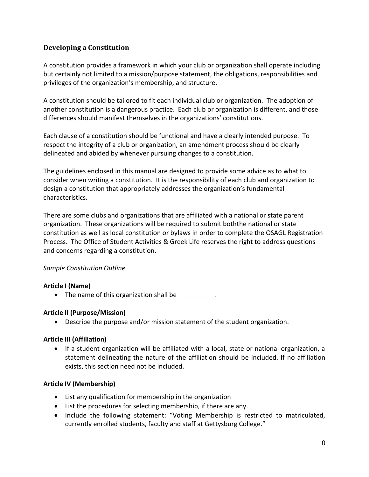## **Developing a Constitution**

A constitution provides a framework in which your club or organization shall operate including but certainly not limited to a mission/purpose statement, the obligations, responsibilities and privileges of the organization's membership, and structure.

A constitution should be tailored to fit each individual club or organization. The adoption of another constitution is a dangerous practice. Each club or organization is different, and those differences should manifest themselves in the organizations' constitutions.

Each clause of a constitution should be functional and have a clearly intended purpose. To respect the integrity of a club or organization, an amendment process should be clearly delineated and abided by whenever pursuing changes to a constitution.

The guidelines enclosed in this manual are designed to provide some advice as to what to consider when writing a constitution. It is the responsibility of each club and organization to design a constitution that appropriately addresses the organization's fundamental characteristics.

There are some clubs and organizations that are affiliated with a national or state parent organization. These organizations will be required to submit boththe national or state constitution as well as local constitution or bylaws in order to complete the OSAGL Registration Process. The Office of Student Activities & Greek Life reserves the right to address questions and concerns regarding a constitution.

#### *Sample Constitution Outline*

## **Article I (Name)**

• The name of this organization shall be  $\qquad \qquad$ .

#### **Article II (Purpose/Mission)**

Describe the purpose and/or mission statement of the student organization.

#### **Article III (Affiliation)**

 If a student organization will be affiliated with a local, state or national organization, a statement delineating the nature of the affiliation should be included. If no affiliation exists, this section need not be included.

#### **Article IV (Membership)**

- List any qualification for membership in the organization
- List the procedures for selecting membership, if there are any.
- Include the following statement: "Voting Membership is restricted to matriculated, currently enrolled students, faculty and staff at Gettysburg College."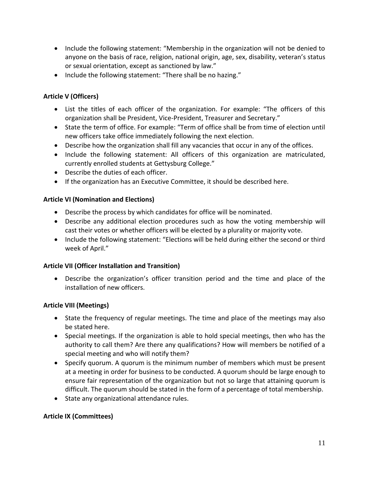- Include the following statement: "Membership in the organization will not be denied to anyone on the basis of race, religion, national origin, age, sex, disability, veteran's status or sexual orientation, except as sanctioned by law."
- Include the following statement: "There shall be no hazing."

#### **Article V (Officers)**

- List the titles of each officer of the organization. For example: "The officers of this organization shall be President, Vice-President, Treasurer and Secretary."
- State the term of office. For example: "Term of office shall be from time of election until new officers take office immediately following the next election.
- Describe how the organization shall fill any vacancies that occur in any of the offices.
- Include the following statement: All officers of this organization are matriculated, currently enrolled students at Gettysburg College."
- Describe the duties of each officer.
- If the organization has an Executive Committee, it should be described here.

#### **Article VI (Nomination and Elections)**

- Describe the process by which candidates for office will be nominated.
- Describe any additional election procedures such as how the voting membership will cast their votes or whether officers will be elected by a plurality or majority vote.
- Include the following statement: "Elections will be held during either the second or third week of April."

#### **Article VII (Officer Installation and Transition)**

 Describe the organization's officer transition period and the time and place of the installation of new officers.

#### **Article VIII (Meetings)**

- State the frequency of regular meetings. The time and place of the meetings may also be stated here.
- Special meetings. If the organization is able to hold special meetings, then who has the authority to call them? Are there any qualifications? How will members be notified of a special meeting and who will notify them?
- Specify quorum. A quorum is the minimum number of members which must be present at a meeting in order for business to be conducted. A quorum should be large enough to ensure fair representation of the organization but not so large that attaining quorum is difficult. The quorum should be stated in the form of a percentage of total membership.
- State any organizational attendance rules.

#### **Article IX (Committees)**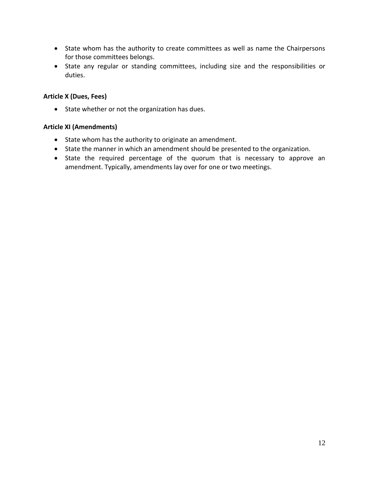- State whom has the authority to create committees as well as name the Chairpersons for those committees belongs.
- State any regular or standing committees, including size and the responsibilities or duties.

#### **Article X (Dues, Fees)**

• State whether or not the organization has dues.

#### **Article XI (Amendments)**

- State whom has the authority to originate an amendment.
- State the manner in which an amendment should be presented to the organization.
- State the required percentage of the quorum that is necessary to approve an amendment. Typically, amendments lay over for one or two meetings.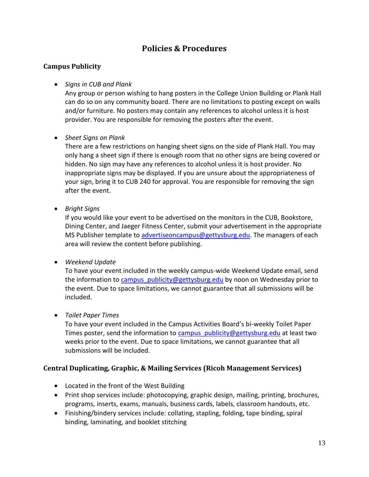# **Policies & Procedures**

## **Campus Publicity**

#### *Signs in CUB and Plank*

Any group or person wishing to hang posters in the College Union Building or Plank Hall can do so on any community board. There are no limitations to posting except on walls and/or furniture. No posters may contain any references to alcohol unless it is host provider. You are responsible for removing the posters after the event.

#### *Sheet Signs on Plank*

There are a few restrictions on hanging sheet signs on the side of Plank Hall. You may only hang a sheet sign if there is enough room that no other signs are being covered or hidden. No sign may have any references to alcohol unless it is host provider. No inappropriate signs may be displayed. If you are unsure about the appropriateness of your sign, bring it to CUB 240 for approval. You are responsible for removing the sign after the event.

#### *Bright Signs*

If you would like your event to be advertised on the monitors in the CUB, Bookstore, Dining Center, and Jaeger Fitness Center, submit your advertisement in the appropriate MS Publisher template to [advertiseoncampus@gettysburg.edu.](mailto:advertiseoncampus@gettysburg.edu) The managers of each area will review the content before publishing.

#### *Weekend Update*

To have your event included in the weekly campus-wide Weekend Update email, send the information to campus publicity@gettysburg.edu by noon on Wednesday prior to the event. Due to space limitations, we cannot guarantee that all submissions will be included.

#### *Toilet Paper Times*

To have your event included in the Campus Activities Board's bi-weekly Toilet Paper Times poster, send the information to [campus\\_publicity@gettysburg.edu](mailto:campus_publicity@gettysburg.edu) at least two weeks prior to the event. Due to space limitations, we cannot guarantee that all submissions will be included.

## **Central Duplicating, Graphic, & Mailing Services (Ricoh Management Services)**

- Located in the front of the West Building
- Print shop services include: photocopying, graphic design, mailing, printing, brochures, programs, inserts, exams, manuals, business cards, labels, classroom handouts, etc.
- Finishing/bindery services include: collating, stapling, folding, tape binding, spiral binding, laminating, and booklet stitching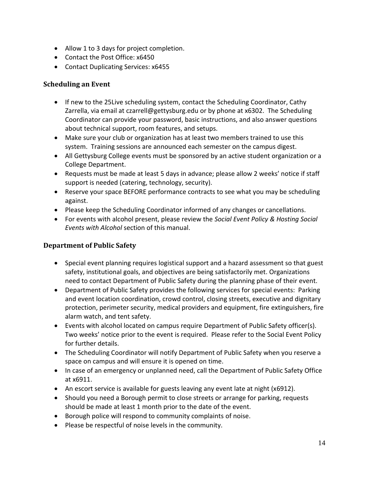- Allow 1 to 3 days for project completion.
- Contact the Post Office: x6450
- Contact Duplicating Services: x6455

## **Scheduling an Event**

- If new to the 25 Live scheduling system, contact the Scheduling Coordinator, Cathy Zarrella, via email at [czarrell@gettysburg.edu](mailto:czarrell@gettysburg.edu) or by phone at x6302. The Scheduling Coordinator can provide your password, basic instructions, and also answer questions about technical support, room features, and setups.
- Make sure your club or organization has at least two members trained to use this system. Training sessions are announced each semester on the campus digest.
- All Gettysburg College events must be sponsored by an active student organization or a College Department.
- Requests must be made at least 5 days in advance; please allow 2 weeks' notice if staff support is needed (catering, technology, security).
- Reserve your space BEFORE performance contracts to see what you may be scheduling against.
- Please keep the Scheduling Coordinator informed of any changes or cancellations.
- For events with alcohol present, please review the *Social Event Policy & Hosting Social Events with Alcohol* section of this manual.

## **Department of Public Safety**

- Special event planning requires logistical support and a hazard assessment so that guest safety, institutional goals, and objectives are being satisfactorily met. Organizations need to contact Department of Public Safety during the planning phase of their event.
- Department of Public Safety provides the following services for special events: Parking and event location coordination, crowd control, closing streets, executive and dignitary protection, perimeter security, medical providers and equipment, fire extinguishers, fire alarm watch, and tent safety.
- Events with alcohol located on campus require Department of Public Safety officer(s). Two weeks' notice prior to the event is required. Please refer to the Social Event Policy for further details.
- The Scheduling Coordinator will notify Department of Public Safety when you reserve a space on campus and will ensure it is opened on time.
- In case of an emergency or unplanned need, call the Department of Public Safety Office at x6911.
- An escort service is available for guests leaving any event late at night (x6912).
- Should you need a Borough permit to close streets or arrange for parking, requests should be made at least 1 month prior to the date of the event.
- Borough police will respond to community complaints of noise.
- Please be respectful of noise levels in the community.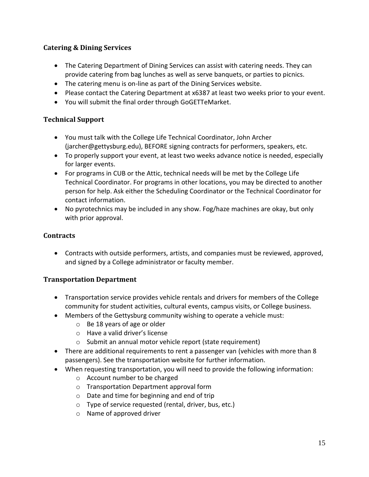## **Catering & Dining Services**

- The Catering Department of Dining Services can assist with catering needs. They can provide catering from bag lunches as well as serve banquets, or parties to picnics.
- The catering menu is on-line as part of the Dining Services website.
- Please contact the Catering Department at x6387 at least two weeks prior to your event.
- You will submit the final order through GoGETTeMarket.

#### **Technical Support**

- You must talk with the College Life Technical Coordinator, John Archer (jarcher@gettysburg.edu), BEFORE signing contracts for performers, speakers, etc.
- To properly support your event, at least two weeks advance notice is needed, especially for larger events.
- For programs in CUB or the Attic, technical needs will be met by the College Life Technical Coordinator. For programs in other locations, you may be directed to another person for help. Ask either the Scheduling Coordinator or the Technical Coordinator for contact information.
- No pyrotechnics may be included in any show. Fog/haze machines are okay, but only with prior approval.

#### **Contracts**

 Contracts with outside performers, artists, and companies must be reviewed, approved, and signed by a College administrator or faculty member.

## **Transportation Department**

- Transportation service provides vehicle rentals and drivers for members of the College community for student activities, cultural events, campus visits, or College business.
- Members of the Gettysburg community wishing to operate a vehicle must:
	- o Be 18 years of age or older
	- o Have a valid driver's license
	- o Submit an annual motor vehicle report (state requirement)
- There are additional requirements to rent a passenger van (vehicles with more than 8 passengers). See the transportation website for further information.
- When requesting transportation, you will need to provide the following information:
	- o Account number to be charged
	- o Transportation Department approval form
	- o Date and time for beginning and end of trip
	- o Type of service requested (rental, driver, bus, etc.)
	- o Name of approved driver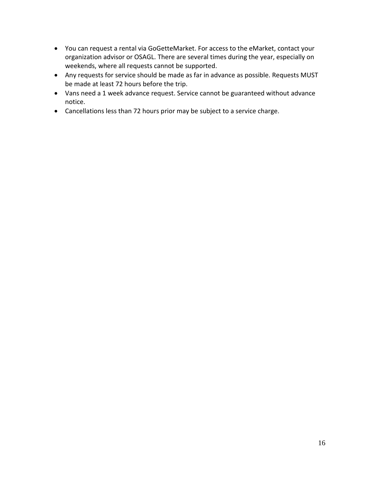- You can request a rental via GoGetteMarket. For access to the eMarket, contact your organization advisor or OSAGL. There are several times during the year, especially on weekends, where all requests cannot be supported.
- Any requests for service should be made as far in advance as possible. Requests MUST be made at least 72 hours before the trip.
- Vans need a 1 week advance request. Service cannot be guaranteed without advance notice.
- Cancellations less than 72 hours prior may be subject to a service charge.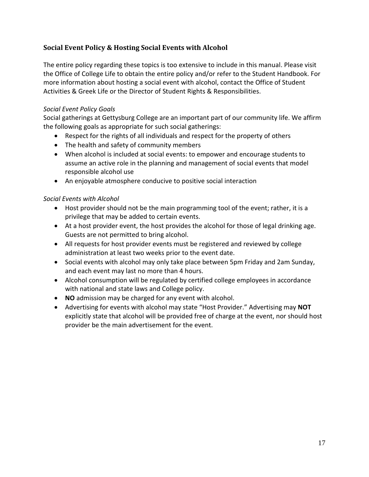## **Social Event Policy & Hosting Social Events with Alcohol**

The entire policy regarding these topics is too extensive to include in this manual. Please visit the Office of College Life to obtain the entire policy and/or refer to the Student Handbook. For more information about hosting a social event with alcohol, contact the Office of Student Activities & Greek Life or the Director of Student Rights & Responsibilities.

#### *Social Event Policy Goals*

Social gatherings at Gettysburg College are an important part of our community life. We affirm the following goals as appropriate for such social gatherings:

- Respect for the rights of all individuals and respect for the property of others
- The health and safety of community members
- When alcohol is included at social events: to empower and encourage students to assume an active role in the planning and management of social events that model responsible alcohol use
- An enjoyable atmosphere conducive to positive social interaction

#### *Social Events with Alcohol*

- Host provider should not be the main programming tool of the event; rather, it is a privilege that may be added to certain events.
- At a host provider event, the host provides the alcohol for those of legal drinking age. Guests are not permitted to bring alcohol.
- All requests for host provider events must be registered and reviewed by college administration at least two weeks prior to the event date.
- Social events with alcohol may only take place between 5pm Friday and 2am Sunday, and each event may last no more than 4 hours.
- Alcohol consumption will be regulated by certified college employees in accordance with national and state laws and College policy.
- **NO** admission may be charged for any event with alcohol.
- Advertising for events with alcohol may state "Host Provider." Advertising may **NOT** explicitly state that alcohol will be provided free of charge at the event, nor should host provider be the main advertisement for the event.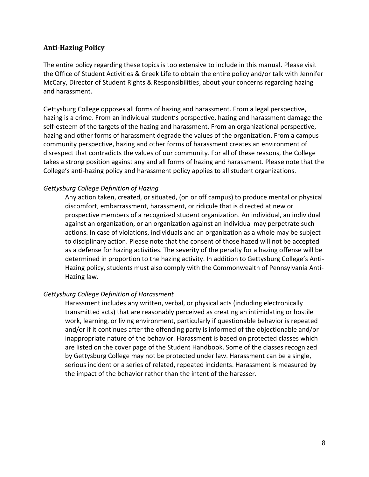#### **Anti-Hazing Policy**

The entire policy regarding these topics is too extensive to include in this manual. Please visit the Office of Student Activities & Greek Life to obtain the entire policy and/or talk with Jennifer McCary, Director of Student Rights & Responsibilities, about your concerns regarding hazing and harassment.

Gettysburg College opposes all forms of hazing and harassment. From a legal perspective, hazing is a crime. From an individual student's perspective, hazing and harassment damage the self-esteem of the targets of the hazing and harassment. From an organizational perspective, hazing and other forms of harassment degrade the values of the organization. From a campus community perspective, hazing and other forms of harassment creates an environment of disrespect that contradicts the values of our community. For all of these reasons, the College takes a strong position against any and all forms of hazing and harassment. Please note that the College's anti-hazing policy and harassment policy applies to all student organizations.

#### *Gettysburg College Definition of Hazing*

Any action taken, created, or situated, (on or off campus) to produce mental or physical discomfort, embarrassment, harassment, or ridicule that is directed at new or prospective members of a recognized student organization. An individual, an individual against an organization, or an organization against an individual may perpetrate such actions. In case of violations, individuals and an organization as a whole may be subject to disciplinary action. Please note that the consent of those hazed will not be accepted as a defense for hazing activities. The severity of the penalty for a hazing offense will be determined in proportion to the hazing activity. In addition to Gettysburg College's Anti-Hazing policy, students must also comply with the Commonwealth of Pennsylvania Anti-Hazing law.

#### *Gettysburg College Definition of Harassment*

Harassment includes any written, verbal, or physical acts (including electronically transmitted acts) that are reasonably perceived as creating an intimidating or hostile work, learning, or living environment, particularly if questionable behavior is repeated and/or if it continues after the offending party is informed of the objectionable and/or inappropriate nature of the behavior. Harassment is based on protected classes which are listed on the cover page of the Student Handbook. Some of the classes recognized by Gettysburg College may not be protected under law. Harassment can be a single, serious incident or a series of related, repeated incidents. Harassment is measured by the impact of the behavior rather than the intent of the harasser.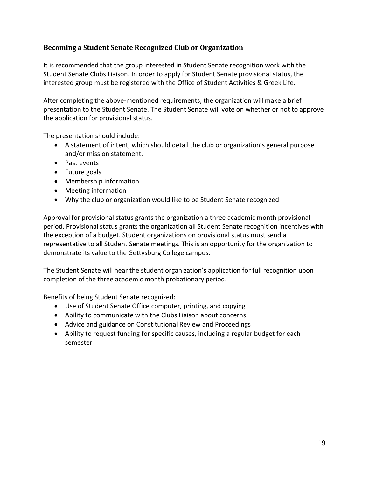## **Becoming a Student Senate Recognized Club or Organization**

It is recommended that the group interested in Student Senate recognition work with the Student Senate Clubs Liaison. In order to apply for Student Senate provisional status, the interested group must be registered with the Office of Student Activities & Greek Life.

After completing the above-mentioned requirements, the organization will make a brief presentation to the Student Senate. The Student Senate will vote on whether or not to approve the application for provisional status.

The presentation should include:

- A statement of intent, which should detail the club or organization's general purpose and/or mission statement.
- Past events
- Future goals
- Membership information
- Meeting information
- Why the club or organization would like to be Student Senate recognized

Approval for provisional status grants the organization a three academic month provisional period. Provisional status grants the organization all Student Senate recognition incentives with the exception of a budget. Student organizations on provisional status must send a representative to all Student Senate meetings. This is an opportunity for the organization to demonstrate its value to the Gettysburg College campus.

The Student Senate will hear the student organization's application for full recognition upon completion of the three academic month probationary period.

Benefits of being Student Senate recognized:

- Use of Student Senate Office computer, printing, and copying
- Ability to communicate with the Clubs Liaison about concerns
- Advice and guidance on Constitutional Review and Proceedings
- Ability to request funding for specific causes, including a regular budget for each semester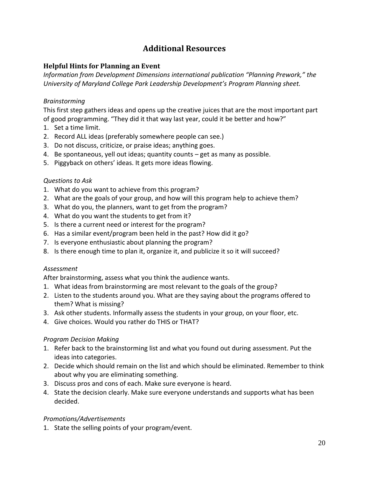# **Additional Resources**

#### **Helpful Hints for Planning an Event**

*Information from Development Dimensions international publication "Planning Prework," the University of Maryland College Park Leadership Development's Program Planning sheet.*

#### *Brainstorming*

This first step gathers ideas and opens up the creative juices that are the most important part of good programming. "They did it that way last year, could it be better and how?"

- 1. Set a time limit.
- 2. Record ALL ideas (preferably somewhere people can see.)
- 3. Do not discuss, criticize, or praise ideas; anything goes.
- 4. Be spontaneous, yell out ideas; quantity counts get as many as possible.
- 5. Piggyback on others' ideas. It gets more ideas flowing.

#### *Questions to Ask*

- 1. What do you want to achieve from this program?
- 2. What are the goals of your group, and how will this program help to achieve them?
- 3. What do you, the planners, want to get from the program?
- 4. What do you want the students to get from it?
- 5. Is there a current need or interest for the program?
- 6. Has a similar event/program been held in the past? How did it go?
- 7. Is everyone enthusiastic about planning the program?
- 8. Is there enough time to plan it, organize it, and publicize it so it will succeed?

#### *Assessment*

After brainstorming, assess what you think the audience wants.

- 1. What ideas from brainstorming are most relevant to the goals of the group?
- 2. Listen to the students around you. What are they saying about the programs offered to them? What is missing?
- 3. Ask other students. Informally assess the students in your group, on your floor, etc.
- 4. Give choices. Would you rather do THIS or THAT?

#### *Program Decision Making*

- 1. Refer back to the brainstorming list and what you found out during assessment. Put the ideas into categories.
- 2. Decide which should remain on the list and which should be eliminated. Remember to think about why you are eliminating something.
- 3. Discuss pros and cons of each. Make sure everyone is heard.
- 4. State the decision clearly. Make sure everyone understands and supports what has been decided.

#### *Promotions/Advertisements*

1. State the selling points of your program/event.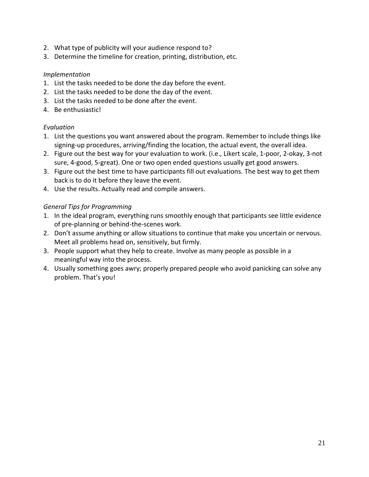- 2. What type of publicity will your audience respond to?
- 3. Determine the timeline for creation, printing, distribution, etc.

#### *Implementation*

- 1. List the tasks needed to be done the day before the event.
- 2. List the tasks needed to be done the day of the event.
- 3. List the tasks needed to be done after the event.
- 4. Be enthusiastic!

#### *Evaluation*

- 1. List the questions you want answered about the program. Remember to include things like signing-up procedures, arriving/finding the location, the actual event, the overall idea.
- 2. Figure out the best way for your evaluation to work. (i.e., Likert scale, 1-poor, 2-okay, 3-not sure, 4-good, 5-great). One or two open ended questions usually get good answers.
- 3. Figure out the best time to have participants fill out evaluations. The best way to get them back is to do it before they leave the event.
- 4. Use the results. Actually read and compile answers.

## *General Tips for Programming*

- 1. In the ideal program, everything runs smoothly enough that participants see little evidence of pre-planning or behind-the-scenes work.
- 2. Don't assume anything or allow situations to continue that make you uncertain or nervous. Meet all problems head on, sensitively, but firmly.
- 3. People support what they help to create. Involve as many people as possible in a meaningful way into the process.
- 4. Usually something goes awry; properly prepared people who avoid panicking can solve any problem. That's you!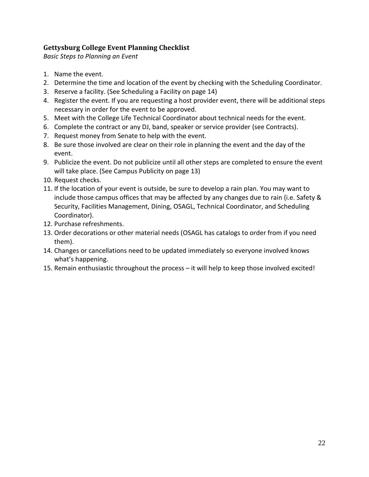## **Gettysburg College Event Planning Checklist**

*Basic Steps to Planning an Event*

- 1. Name the event.
- 2. Determine the time and location of the event by checking with the Scheduling Coordinator.
- 3. Reserve a facility. (See Scheduling a Facility on page 14)
- 4. Register the event. If you are requesting a host provider event, there will be additional steps necessary in order for the event to be approved.
- 5. Meet with the College Life Technical Coordinator about technical needs for the event.
- 6. Complete the contract or any DJ, band, speaker or service provider (see Contracts).
- 7. Request money from Senate to help with the event.
- 8. Be sure those involved are clear on their role in planning the event and the day of the event.
- 9. Publicize the event. Do not publicize until all other steps are completed to ensure the event will take place. (See Campus Publicity on page 13)
- 10. Request checks.
- 11. If the location of your event is outside, be sure to develop a rain plan. You may want to include those campus offices that may be affected by any changes due to rain (i.e. Safety & Security, Facilities Management, Dining, OSAGL, Technical Coordinator, and Scheduling Coordinator).
- 12. Purchase refreshments.
- 13. Order decorations or other material needs (OSAGL has catalogs to order from if you need them).
- 14. Changes or cancellations need to be updated immediately so everyone involved knows what's happening.
- 15. Remain enthusiastic throughout the process it will help to keep those involved excited!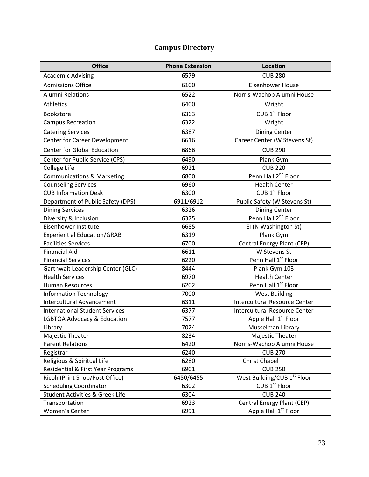# **Campus Directory**

| <b>Office</b>                              | <b>Phone Extension</b> | <b>Location</b>                      |
|--------------------------------------------|------------------------|--------------------------------------|
| <b>Academic Advising</b>                   | 6579                   | <b>CUB 280</b>                       |
| <b>Admissions Office</b>                   | 6100                   | <b>Eisenhower House</b>              |
| <b>Alumni Relations</b>                    | 6522                   | Norris-Wachob Alumni House           |
| <b>Athletics</b>                           | 6400                   | Wright                               |
| Bookstore                                  | 6363                   | CUB 1 <sup>st</sup> Floor            |
| <b>Campus Recreation</b>                   | 6322                   | Wright                               |
| <b>Catering Services</b>                   | 6387                   | <b>Dining Center</b>                 |
| Center for Career Development              | 6616                   | Career Center (W Stevens St)         |
| <b>Center for Global Education</b>         | 6866                   | <b>CUB 290</b>                       |
| Center for Public Service (CPS)            | 6490                   | Plank Gym                            |
| College Life                               | 6921                   | <b>CUB 220</b>                       |
| <b>Communications &amp; Marketing</b>      | 6800                   | Penn Hall 2 <sup>nd</sup> Floor      |
| <b>Counseling Services</b>                 | 6960                   | <b>Health Center</b>                 |
| <b>CUB Information Desk</b>                | 6300                   | CUB 1 <sup>st</sup> Floor            |
| Department of Public Safety (DPS)          | 6911/6912              | Public Safety (W Stevens St)         |
| <b>Dining Services</b>                     | 6326                   | <b>Dining Center</b>                 |
| Diversity & Inclusion                      | 6375                   | Penn Hall 2 <sup>nd</sup> Floor      |
| Eisenhower Institute                       | 6685                   | EI (N Washington St)                 |
| <b>Experiential Education/GRAB</b>         | 6319                   | Plank Gym                            |
| <b>Facilities Services</b>                 | 6700                   | Central Energy Plant (CEP)           |
| <b>Financial Aid</b>                       | 6611                   | W Stevens St                         |
| <b>Financial Services</b>                  | 6220                   | Penn Hall 1 <sup>st</sup> Floor      |
| Garthwait Leadership Center (GLC)          | 8444                   | Plank Gym 103                        |
| <b>Health Services</b>                     | 6970                   | <b>Health Center</b>                 |
| <b>Human Resources</b>                     | 6202                   | Penn Hall 1 <sup>st</sup> Floor      |
| <b>Information Technology</b>              | 7000                   | <b>West Building</b>                 |
| <b>Intercultural Advancement</b>           | 6311                   | <b>Intercultural Resource Center</b> |
| <b>International Student Services</b>      | 6377                   | <b>Intercultural Resource Center</b> |
| LGBTQA Advocacy & Education                | 7577                   | Apple Hall 1 <sup>st</sup> Floor     |
| Library                                    | 7024                   | Musselman Library                    |
| Majestic Theater                           | 8234                   | Majestic Theater                     |
| <b>Parent Relations</b>                    | 6420                   | Norris-Wachob Alumni House           |
| Registrar                                  | 6240                   | <b>CUB 270</b>                       |
| Religious & Spiritual Life                 | 6280                   | <b>Christ Chapel</b>                 |
| Residential & First Year Programs          | 6901                   | <b>CUB 250</b>                       |
| Ricoh (Print Shop/Post Office)             | 6450/6455              | West Building/CUB 1st Floor          |
| <b>Scheduling Coordinator</b>              | 6302                   | CUB 1 <sup>st</sup> Floor            |
| <b>Student Activities &amp; Greek Life</b> | 6304                   | <b>CUB 240</b>                       |
| Transportation                             | 6923                   | Central Energy Plant (CEP)           |
| Women's Center                             | 6991                   | Apple Hall 1 <sup>st</sup> Floor     |